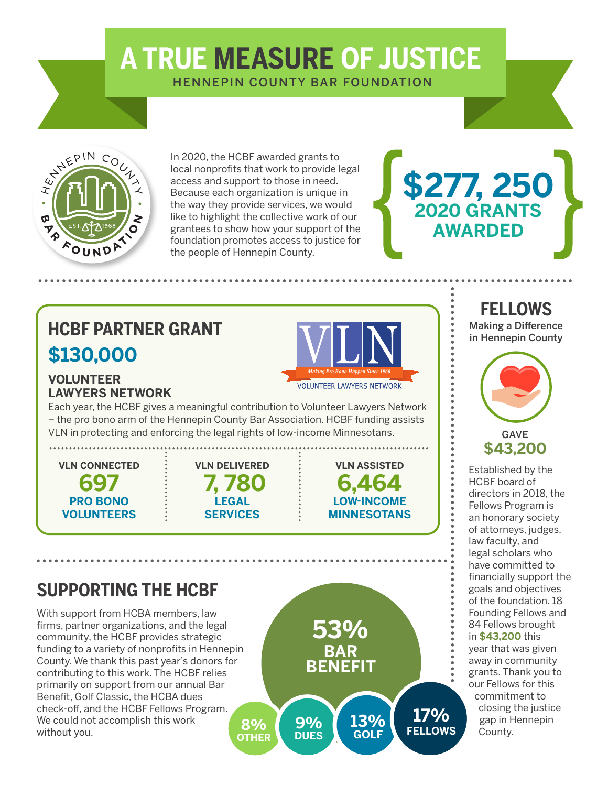# **A TRUE MEASURE OF JUSTICE**

HENNEPIN COUNTY BAR FOUNDATION



In 2020, the HCBF awarded grants to local nonprofits that work to provide legal access and support to those in need. Because each organization is unique in the way they provide services, we would like to highlight the collective work of our grantees to show how your support of the foundation promotes access to justice for the people of Hennepin County.

# **\$130,000 HCBF PARTNER GRANT**



**LAWYERS NETWORK**

Each year, the HCBF gives a meaningful contribution to Volunteer Lawyers Network – the pro bono arm of the Hennepin County Bar Association. HCBF funding assists VLN in protecting and enforcing the legal rights of low-income Minnesotans.

**VLN CONNECTED 697 PRO BONO VOLUNTEERS**

**VOLUNTEER** 



**VLN ASSISTED 6,464 LOW-INCOME NNESOTANS** 

# **SUPPORTING THE HCBF**

With support from HCBA members, law firms, partner organizations, and the legal community, the HCBF provides strategic funding to a variety of nonprofits in Hennepin County. We thank this past year's donors for contributing to this work. The HCBF relies primarily on support from our annual Bar Benefit, Golf Classic, the HCBA dues check-off, and the HCBF Fellows Program. We could not accomplish this work without you.



#### **FELLOWS** Making a Difference

**\$277, 250**

**2020 GRANTS AWARDED**

in Hennepin County



Established by the HCBF board of directors in 2018, the Fellows Program is an honorary society of attorneys, judges, law faculty, and legal scholars who have committed to financially support the goals and objectives of the foundation. 18 Founding Fellows and 84 Fellows brought in **\$43,200** this year that was given away in community grants. Thank you to our Fellows for this commitment to closing the justice gap in Hennepin County.